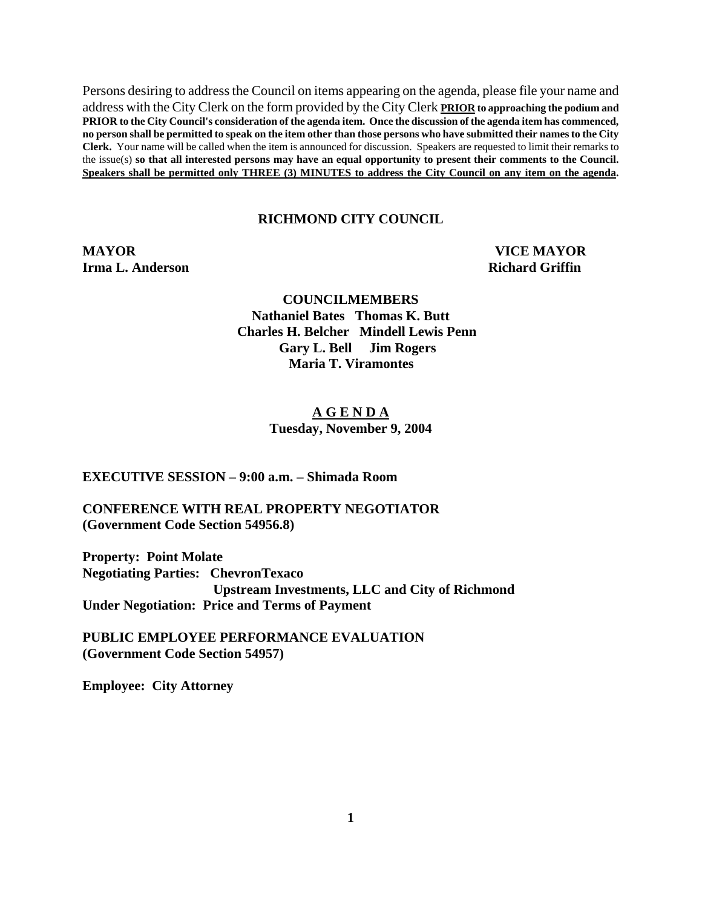Persons desiring to address the Council on items appearing on the agenda, please file your name and address with the City Clerk on the form provided by the City Clerk **PRIOR to approaching the podium and PRIOR to the City Council's consideration of the agenda item. Once the discussion of the agenda item has commenced, no person shall be permitted to speak on the item other than those persons who have submitted their names to the City Clerk.** Your name will be called when the item is announced for discussion. Speakers are requested to limit their remarks to the issue(s) **so that all interested persons may have an equal opportunity to present their comments to the Council. Speakers shall be permitted only THREE (3) MINUTES to address the City Council on any item on the agenda.**

#### **RICHMOND CITY COUNCIL**

**MAYOR VICE MAYOR Irma L. Anderson Richard Griffin Richard Griffin** 

 **COUNCILMEMBERS Nathaniel Bates Thomas K. Butt Charles H. Belcher Mindell Lewis Penn Gary L. Bell Jim Rogers Maria T. Viramontes** 

#### **A G E N D A Tuesday, November 9, 2004**

**EXECUTIVE SESSION – 9:00 a.m. – Shimada Room** 

**CONFERENCE WITH REAL PROPERTY NEGOTIATOR (Government Code Section 54956.8)** 

**Property: Point Molate Negotiating Parties: ChevronTexaco Upstream Investments, LLC and City of Richmond Under Negotiation: Price and Terms of Payment** 

**PUBLIC EMPLOYEE PERFORMANCE EVALUATION (Government Code Section 54957)** 

**Employee: City Attorney**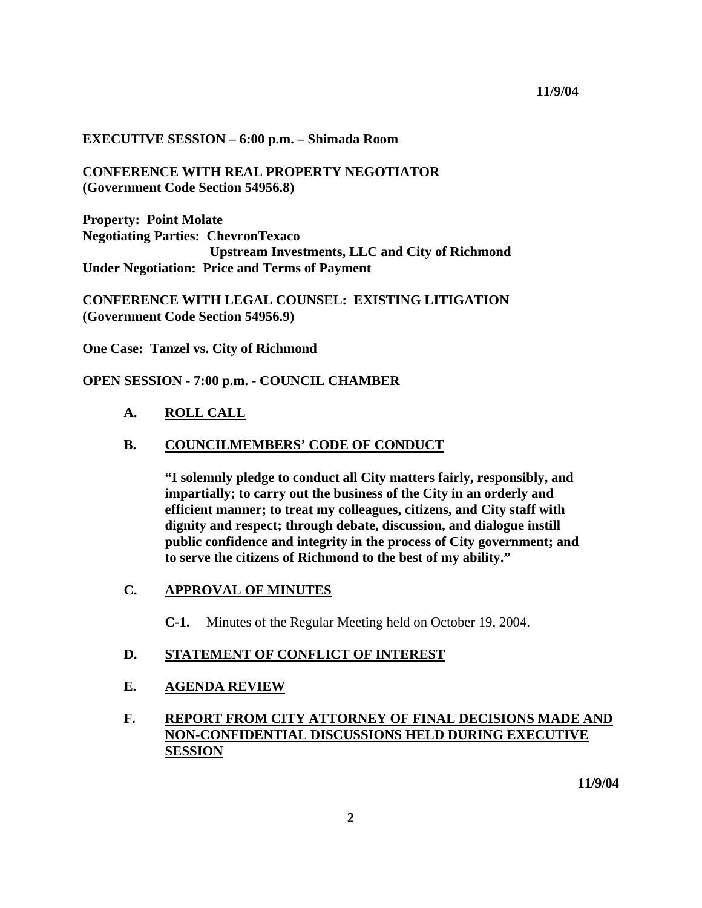#### **EXECUTIVE SESSION – 6:00 p.m. – Shimada Room**

## **CONFERENCE WITH REAL PROPERTY NEGOTIATOR (Government Code Section 54956.8)**

**Property: Point Molate Negotiating Parties: ChevronTexaco Upstream Investments, LLC and City of Richmond Under Negotiation: Price and Terms of Payment** 

**CONFERENCE WITH LEGAL COUNSEL: EXISTING LITIGATION (Government Code Section 54956.9)** 

**One Case: Tanzel vs. City of Richmond** 

**OPEN SESSION - 7:00 p.m. - COUNCIL CHAMBER**

#### **A. ROLL CALL**

#### **B. COUNCILMEMBERS' CODE OF CONDUCT**

**"I solemnly pledge to conduct all City matters fairly, responsibly, and impartially; to carry out the business of the City in an orderly and efficient manner; to treat my colleagues, citizens, and City staff with dignity and respect; through debate, discussion, and dialogue instill public confidence and integrity in the process of City government; and to serve the citizens of Richmond to the best of my ability."** 

## **C. APPROVAL OF MINUTES**

**C-1.** Minutes of the Regular Meeting held on October 19, 2004.

#### **D. STATEMENT OF CONFLICT OF INTEREST**

#### **E. AGENDA REVIEW**

# **F. REPORT FROM CITY ATTORNEY OF FINAL DECISIONS MADE AND NON-CONFIDENTIAL DISCUSSIONS HELD DURING EXECUTIVE SESSION**

 **11/9/04**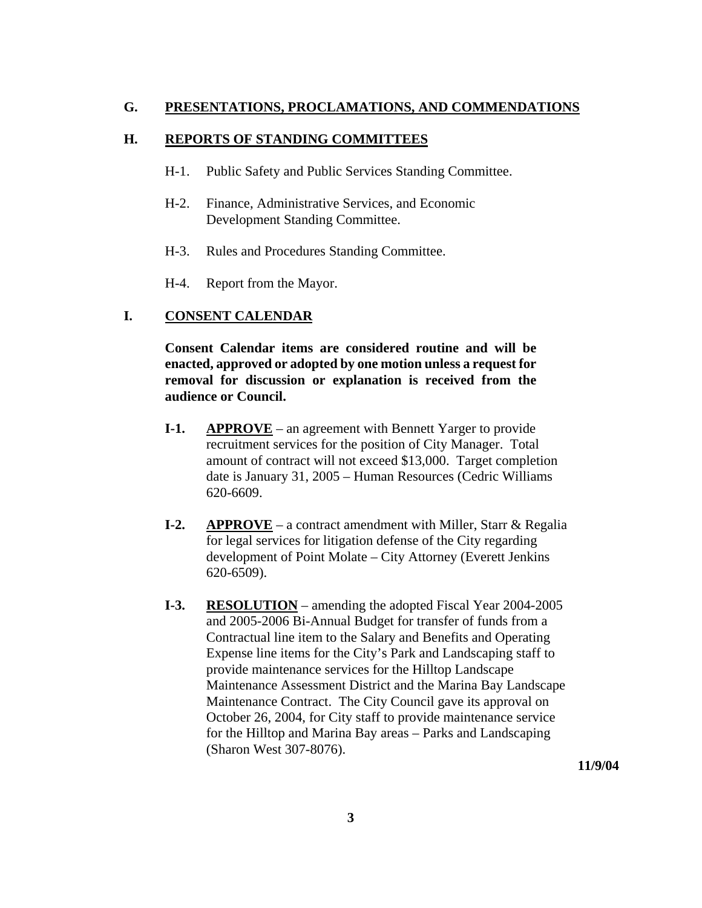## **G. PRESENTATIONS, PROCLAMATIONS, AND COMMENDATIONS**

## **H. REPORTS OF STANDING COMMITTEES**

- H-1. Public Safety and Public Services Standing Committee.
- H-2. Finance, Administrative Services, and Economic Development Standing Committee.
- H-3. Rules and Procedures Standing Committee.
- H-4. Report from the Mayor.

## **I. CONSENT CALENDAR**

**Consent Calendar items are considered routine and will be enacted, approved or adopted by one motion unless a request for removal for discussion or explanation is received from the audience or Council.** 

- **I-1.** APPROVE an agreement with Bennett Yarger to provide recruitment services for the position of City Manager. Total amount of contract will not exceed \$13,000. Target completion date is January 31, 2005 – Human Resources (Cedric Williams 620-6609.
- **I-2. APPROVE** a contract amendment with Miller, Starr & Regalia for legal services for litigation defense of the City regarding development of Point Molate – City Attorney (Everett Jenkins 620-6509).
- **I-3. RESOLUTION** amending the adopted Fiscal Year 2004-2005 and 2005-2006 Bi-Annual Budget for transfer of funds from a Contractual line item to the Salary and Benefits and Operating Expense line items for the City's Park and Landscaping staff to provide maintenance services for the Hilltop Landscape Maintenance Assessment District and the Marina Bay Landscape Maintenance Contract. The City Council gave its approval on October 26, 2004, for City staff to provide maintenance service for the Hilltop and Marina Bay areas – Parks and Landscaping (Sharon West 307-8076).

**11/9/04**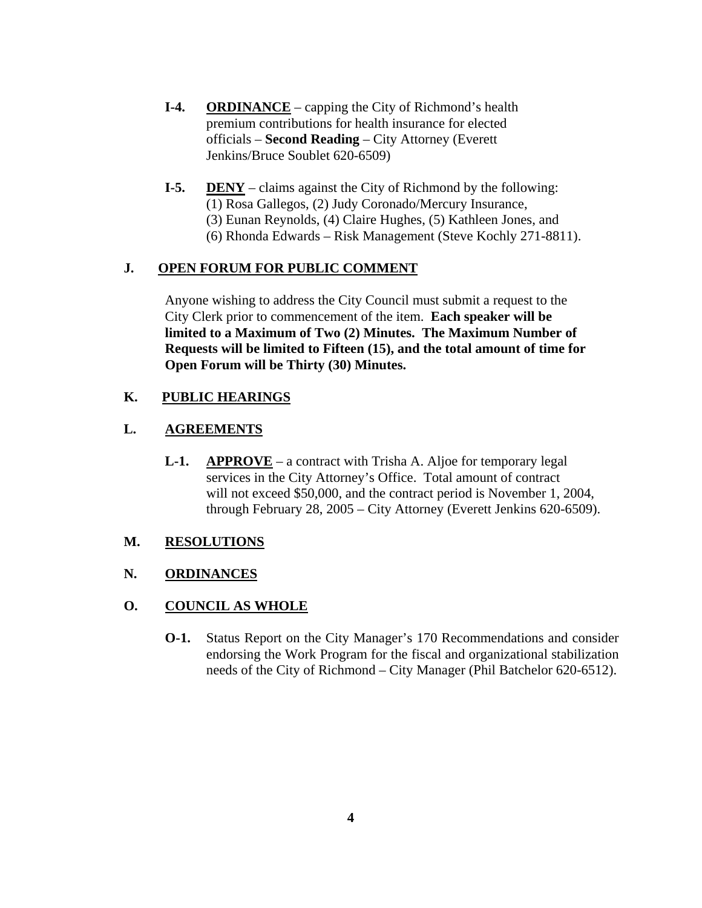- **I-4. ORDINANCE** capping the City of Richmond's health premium contributions for health insurance for elected officials – **Second Reading** – City Attorney (Everett Jenkins/Bruce Soublet 620-6509)
- **I-5. DENY** claims against the City of Richmond by the following: (1) Rosa Gallegos, (2) Judy Coronado/Mercury Insurance, (3) Eunan Reynolds, (4) Claire Hughes, (5) Kathleen Jones, and (6) Rhonda Edwards – Risk Management (Steve Kochly 271-8811).

## **J. OPEN FORUM FOR PUBLIC COMMENT**

Anyone wishing to address the City Council must submit a request to the City Clerk prior to commencement of the item. **Each speaker will be limited to a Maximum of Two (2) Minutes. The Maximum Number of Requests will be limited to Fifteen (15), and the total amount of time for Open Forum will be Thirty (30) Minutes.** 

# **K. PUBLIC HEARINGS**

# **L. AGREEMENTS**

 **L-1. APPROVE** – a contract with Trisha A. Aljoe for temporary legal services in the City Attorney's Office. Total amount of contract will not exceed \$50,000, and the contract period is November 1, 2004, through February 28, 2005 – City Attorney (Everett Jenkins 620-6509).

## **M. RESOLUTIONS**

## **N. ORDINANCES**

## **O. COUNCIL AS WHOLE**

**O-1.** Status Report on the City Manager's 170 Recommendations and consider endorsing the Work Program for the fiscal and organizational stabilization needs of the City of Richmond – City Manager (Phil Batchelor 620-6512).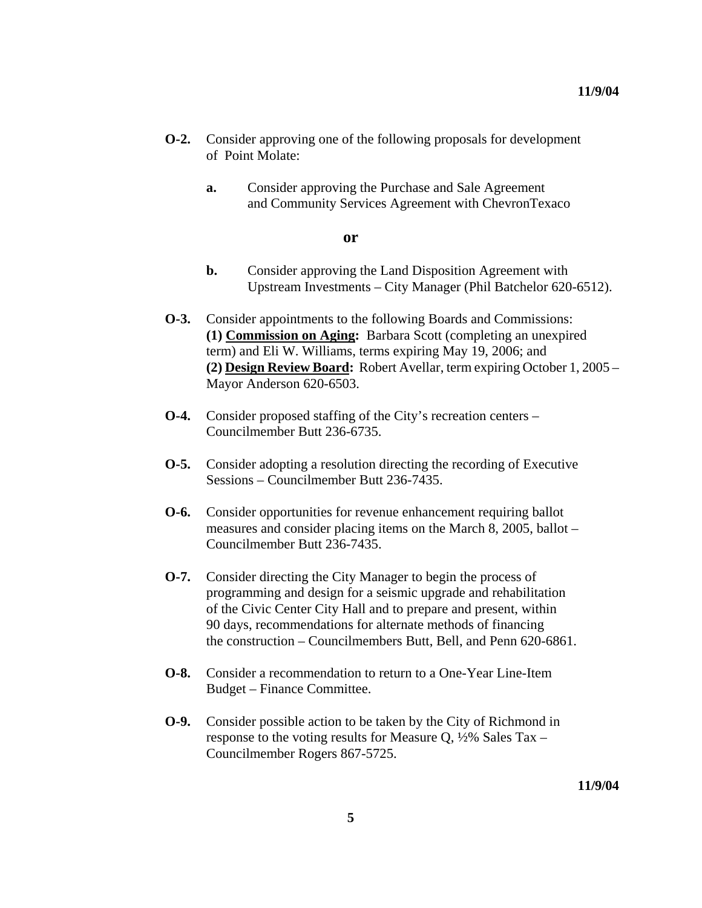- **O-2.** Consider approving one of the following proposals for development of Point Molate:
	- **a.** Consider approving the Purchase and Sale Agreement and Community Services Agreement with ChevronTexaco

#### **or**

- **b.** Consider approving the Land Disposition Agreement with Upstream Investments – City Manager (Phil Batchelor 620-6512).
- **O-3.** Consider appointments to the following Boards and Commissions: **(1) Commission on Aging:** Barbara Scott (completing an unexpired term) and Eli W. Williams, terms expiring May 19, 2006; and **(2) Design Review Board:** Robert Avellar, term expiring October 1, 2005 – Mayor Anderson 620-6503.
- **O-4.** Consider proposed staffing of the City's recreation centers Councilmember Butt 236-6735.
- **O-5.** Consider adopting a resolution directing the recording of Executive Sessions – Councilmember Butt 236-7435.
- **O-6.** Consider opportunities for revenue enhancement requiring ballot measures and consider placing items on the March 8, 2005, ballot – Councilmember Butt 236-7435.
- **O-7.** Consider directing the City Manager to begin the process of programming and design for a seismic upgrade and rehabilitation of the Civic Center City Hall and to prepare and present, within 90 days, recommendations for alternate methods of financing the construction – Councilmembers Butt, Bell, and Penn 620-6861.
- **O-8.** Consider a recommendation to return to a One-Year Line-Item Budget – Finance Committee.
- **O-9.** Consider possible action to be taken by the City of Richmond in response to the voting results for Measure Q, ½% Sales Tax – Councilmember Rogers 867-5725.